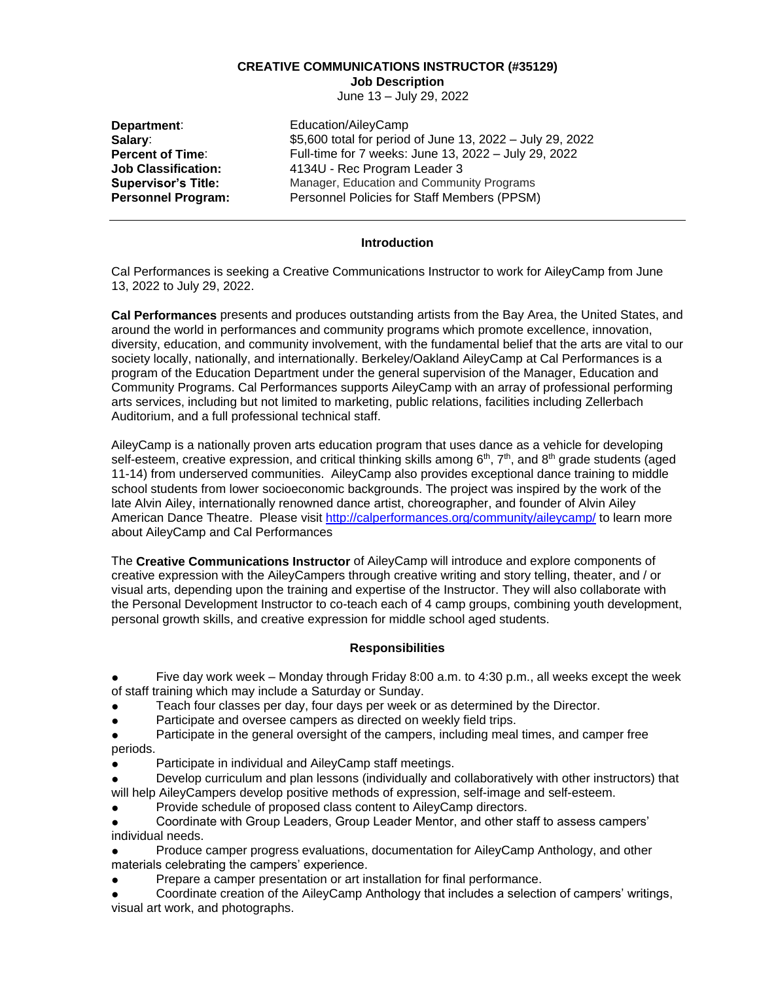#### **CREATIVE COMMUNICATIONS INSTRUCTOR (#35129) Job Description**

June 13 – July 29, 2022

**Department:** Education/AileyCamp **Salary**: \$5,600 total for period of June 13, 2022 – July 29, 2022 **Percent of Time:** Full-time for 7 weeks: June 13, 2022 – July 29, 2022 **Job Classification:** 4134U - Rec Program Leader 3 **Supervisor's Title:** Manager, Education and Community Programs<br> **Personnel Program:** Personnel Policies for Staff Members (PPSM) Personnel Policies for Staff Members (PPSM)

### **Introduction**

Cal Performances is seeking a Creative Communications Instructor to work for AileyCamp from June 13, 2022 to July 29, 2022.

**Cal Performances** presents and produces outstanding artists from the Bay Area, the United States, and around the world in performances and community programs which promote excellence, innovation, diversity, education, and community involvement, with the fundamental belief that the arts are vital to our society locally, nationally, and internationally. Berkeley/Oakland AileyCamp at Cal Performances is a program of the Education Department under the general supervision of the Manager, Education and Community Programs. Cal Performances supports AileyCamp with an array of professional performing arts services, including but not limited to marketing, public relations, facilities including Zellerbach Auditorium, and a full professional technical staff.

AileyCamp is a nationally proven arts education program that uses dance as a vehicle for developing self-esteem, creative expression, and critical thinking skills among 6<sup>th</sup>, 7<sup>th</sup>, and 8<sup>th</sup> grade students (aged 11-14) from underserved communities. AileyCamp also provides exceptional dance training to middle school students from lower socioeconomic backgrounds. The project was inspired by the work of the late Alvin Ailey, internationally renowned dance artist, choreographer, and founder of Alvin Ailey American Dance Theatre. Please visit<http://calperformances.org/community/aileycamp/> to learn more about AileyCamp and Cal Performances

The **Creative Communications Instructor** of AileyCamp will introduce and explore components of creative expression with the AileyCampers through creative writing and story telling, theater, and / or visual arts, depending upon the training and expertise of the Instructor. They will also collaborate with the Personal Development Instructor to co-teach each of 4 camp groups, combining youth development, personal growth skills, and creative expression for middle school aged students.

### **Responsibilities**

Five day work week – Monday through Friday 8:00 a.m. to 4:30 p.m., all weeks except the week of staff training which may include a Saturday or Sunday.

- Teach four classes per day, four days per week or as determined by the Director.
- Participate and oversee campers as directed on weekly field trips.

Participate in the general oversight of the campers, including meal times, and camper free periods.

- Participate in individual and AileyCamp staff meetings.
- Develop curriculum and plan lessons (individually and collaboratively with other instructors) that will help AileyCampers develop positive methods of expression, self-image and self-esteem.
- Provide schedule of proposed class content to AileyCamp directors.

Coordinate with Group Leaders, Group Leader Mentor, and other staff to assess campers' individual needs.

- Produce camper progress evaluations, documentation for AileyCamp Anthology, and other materials celebrating the campers' experience.
- Prepare a camper presentation or art installation for final performance.

Coordinate creation of the AileyCamp Anthology that includes a selection of campers' writings, visual art work, and photographs.